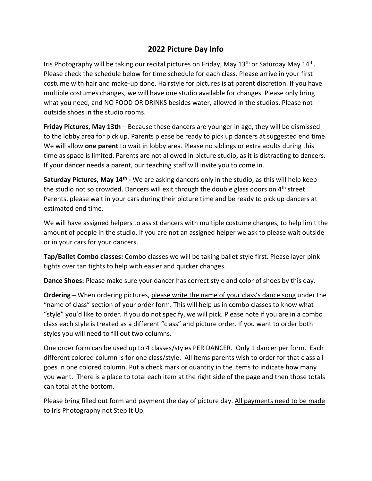## **2022 Picture Day Info**

Iris Photography will be taking our recital pictures on Friday, May 13<sup>th</sup> or Saturday May 14<sup>th</sup>. Please check the schedule below for time schedule for each class. Please arrive in your first costume with hair and make-up done. Hairstyle for pictures is at parent discretion. If you have multiple costumes changes, we will have one studio available for changes. Please only bring what you need, and NO FOOD OR DRINKS besides water, allowed in the studios. Please not outside shoes in the studio rooms.

**Friday Pictures, May 13th** – Because these dancers are younger in age, they will be dismissed to the lobby area for pick up. Parents please be ready to pick up dancers at suggested end time. We will allow **one parent** to wait in lobby area. Please no siblings or extra adults during this time as space is limited. Parents are not allowed in picture studio, as it is distracting to dancers. If your dancer needs a parent, our teaching staff will invite you to come in.

**Saturday Pictures, May 14th -** We are asking dancers only in the studio, as this will help keep the studio not so crowded. Dancers will exit through the double glass doors on  $4<sup>th</sup>$  street. Parents, please wait in your cars during their picture time and be ready to pick up dancers at estimated end time.

We will have assigned helpers to assist dancers with multiple costume changes, to help limit the amount of people in the studio. If you are not an assigned helper we ask to please wait outside or in your cars for your dancers.

**Tap/Ballet Combo classes:** Combo classes we will be taking ballet style first. Please layer pink tights over tan tights to help with easier and quicker changes.

**Dance Shoes:** Please make sure your dancer has correct style and color of shoes by this day.

**Ordering –** When ordering pictures, please write the name of your class's dance song under the "name of class" section of your order form. This will help us in combo classes to know what "style" you'd like to order. If you do not specify, we will pick. Please note if you are in a combo class each style is treated as a different "class" and picture order. If you want to order both styles you will need to fill out two columns.

One order form can be used up to 4 classes/styles PER DANCER. Only 1 dancer per form. Each different colored column is for one class/style. All items parents wish to order for that class all goes in one colored column. Put a check mark or quantity in the items to indicate how many you want. There is a place to total each item at the right side of the page and then those totals can total at the bottom.

Please bring filled out form and payment the day of picture day. All payments need to be made to Iris Photography not Step It Up.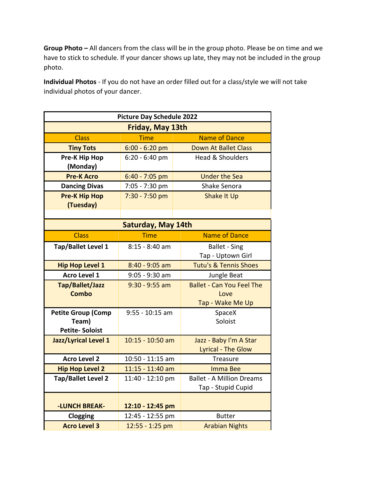**Group Photo –** All dancers from the class will be in the group photo. Please be on time and we have to stick to schedule. If your dancer shows up late, they may not be included in the group photo.

**Individual Photos** - If you do not have an order filled out for a class/style we will not take individual photos of your dancer.

| <b>Picture Day Schedule 2022</b> |                    |                                  |  |
|----------------------------------|--------------------|----------------------------------|--|
| Friday, May 13th                 |                    |                                  |  |
| <b>Class</b>                     | <b>Time</b>        | <b>Name of Dance</b>             |  |
| <b>Tiny Tots</b>                 | $6:00 - 6:20$ pm   | <b>Down At Ballet Class</b>      |  |
| <b>Pre-K Hip Hop</b>             | $6:20 - 6:40$ pm   | <b>Head &amp; Shoulders</b>      |  |
| (Monday)                         |                    |                                  |  |
| <b>Pre-K Acro</b>                | $6:40 - 7:05$ pm   | <b>Under the Sea</b>             |  |
| <b>Dancing Divas</b>             | 7:05 - 7:30 pm     | Shake Senora                     |  |
| <b>Pre-K Hip Hop</b>             | 7:30 - 7:50 pm     | <b>Shake It Up</b>               |  |
| (Tuesday)                        |                    |                                  |  |
|                                  |                    |                                  |  |
| <b>Saturday, May 14th</b>        |                    |                                  |  |
| <b>Class</b>                     | Time               | <b>Name of Dance</b>             |  |
| Tap/Ballet Level 1               | 8:15 - 8:40 am     | <b>Ballet - Sing</b>             |  |
|                                  |                    | Tap - Uptown Girl                |  |
| <b>Hip Hop Level 1</b>           | $8:40 - 9:05$ am   | <b>Tutu's &amp; Tennis Shoes</b> |  |
| <b>Acro Level 1</b>              | $9:05 - 9:30$ am   | Jungle Beat                      |  |
| Tap/Ballet/Jazz                  | $9:30 - 9:55$ am   | <b>Ballet - Can You Feel The</b> |  |
| Combo                            |                    | Love                             |  |
|                                  |                    | Tap - Wake Me Up                 |  |
| <b>Petite Group (Comp</b>        | $9:55 - 10:15$ am  | SpaceX                           |  |
| Team)                            |                    | Soloist                          |  |
| <b>Petite-Soloist</b>            |                    |                                  |  |
| Jazz/Lyrical Level 1             | $10:15 - 10:50$ am | Jazz - Baby I'm A Star           |  |
| <b>Acro Level 2</b>              | 10:50 - 11:15 am   | <b>Lyrical - The Glow</b>        |  |
|                                  |                    | <b>Treasure</b>                  |  |
| <b>Hip Hop Level 2</b>           | 11:15 - 11:40 am   | <b>Imma Bee</b>                  |  |
| <b>Tap/Ballet Level 2</b>        | 11:40 - 12:10 pm   | <b>Ballet - A Million Dreams</b> |  |
|                                  |                    | Tap - Stupid Cupid               |  |
| <b>-LUNCH BREAK-</b>             | 12:10 - 12:45 pm   |                                  |  |
| Clogging                         | 12:45 - 12:55 pm   | <b>Butter</b>                    |  |
| <b>Acro Level 3</b>              | 12:55 - 1:25 pm    | <b>Arabian Nights</b>            |  |